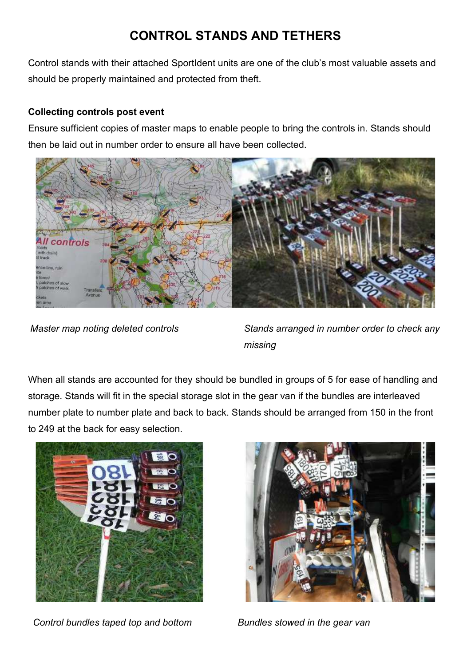## CONTROL STANDS AND TETHERS

Control stands with their attached SportIdent units are one of the club's most valuable assets and should be properly maintained and protected from theft.

## Collecting controls post event

Ensure sufficient copies of master maps to enable people to bring the controls in. Stands should then be laid out in number order to ensure all have been collected.



Master map noting deleted controls Stands arranged in number order to check any missing

When all stands are accounted for they should be bundled in groups of 5 for ease of handling and storage. Stands will fit in the special storage slot in the gear van if the bundles are interleaved number plate to number plate and back to back. Stands should be arranged from 150 in the front to 249 at the back for easy selection.



Control bundles taped top and bottom Bundles stowed in the gear van